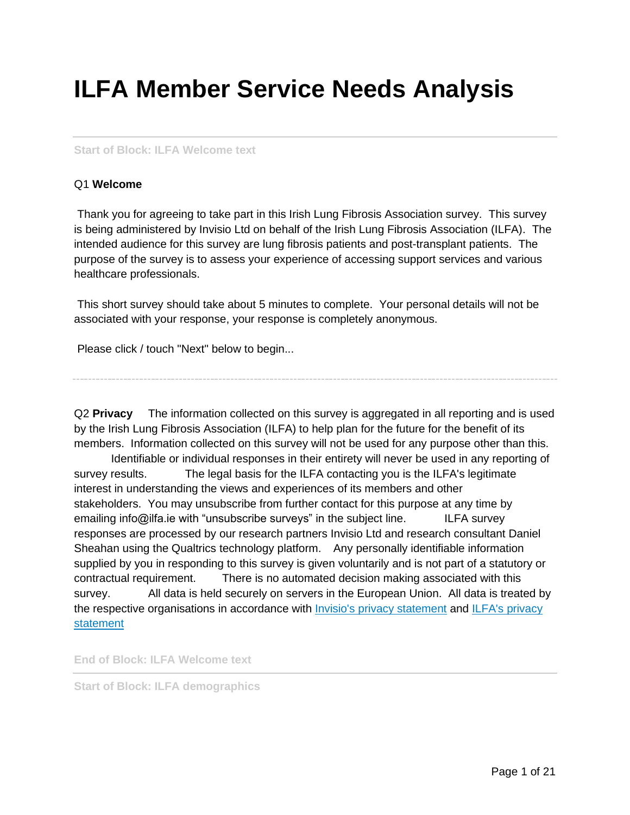# **ILFA Member Service Needs Analysis**

#### **Start of Block: ILFA Welcome text**

#### Q1 **Welcome**

Thank you for agreeing to take part in this Irish Lung Fibrosis Association survey. This survey is being administered by Invisio Ltd on behalf of the Irish Lung Fibrosis Association (ILFA). The intended audience for this survey are lung fibrosis patients and post-transplant patients. The purpose of the survey is to assess your experience of accessing support services and various healthcare professionals.

This short survey should take about 5 minutes to complete. Your personal details will not be associated with your response, your response is completely anonymous.

Please click / touch "Next" below to begin...

Q2 **Privacy** The information collected on this survey is aggregated in all reporting and is used by the Irish Lung Fibrosis Association (ILFA) to help plan for the future for the benefit of its members. Information collected on this survey will not be used for any purpose other than this.

Identifiable or individual responses in their entirety will never be used in any reporting of survey results. The legal basis for the ILFA contacting you is the ILFA's legitimate interest in understanding the views and experiences of its members and other stakeholders. You may unsubscribe from further contact for this purpose at any time by emailing info@ilfa.ie with "unsubscribe surveys" in the subject line. ILFA survey responses are processed by our research partners Invisio Ltd and research consultant Daniel Sheahan using the Qualtrics technology platform. Any personally identifiable information supplied by you in responding to this survey is given voluntarily and is not part of a statutory or contractual requirement. There is no automated decision making associated with this survey. All data is held securely on servers in the European Union. All data is treated by the respective organisations in accordance with [Invisio's privacy statement](https://invisio.ie/privacy/) and ILFA's privacy [statement](https://www.ilfa.ie/privacy.asp)

**End of Block: ILFA Welcome text**

**Start of Block: ILFA demographics**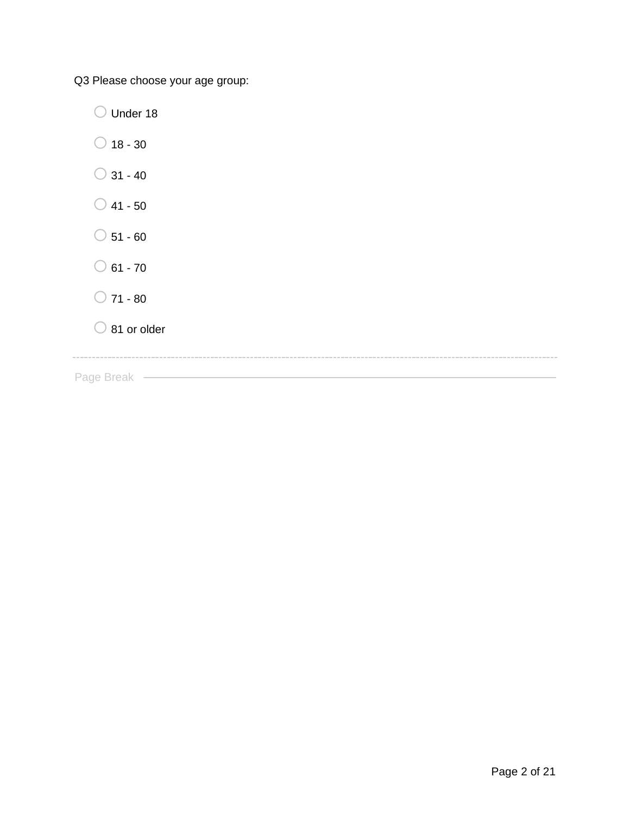Q3 Please choose your age group:

O Under 18

- $\bigcirc$  18 30
- $\bigcirc$  31 40
- $\bigcirc$  41 50
- $\bigcirc$  51 60
- $\bigcirc$  61 70
- $\bigcirc$  71 80
- $\bigcirc$  81 or older

<u> 1980 - Johann Barn, amerikan besteman besteman besteman besteman besteman besteman besteman besteman bestema</u>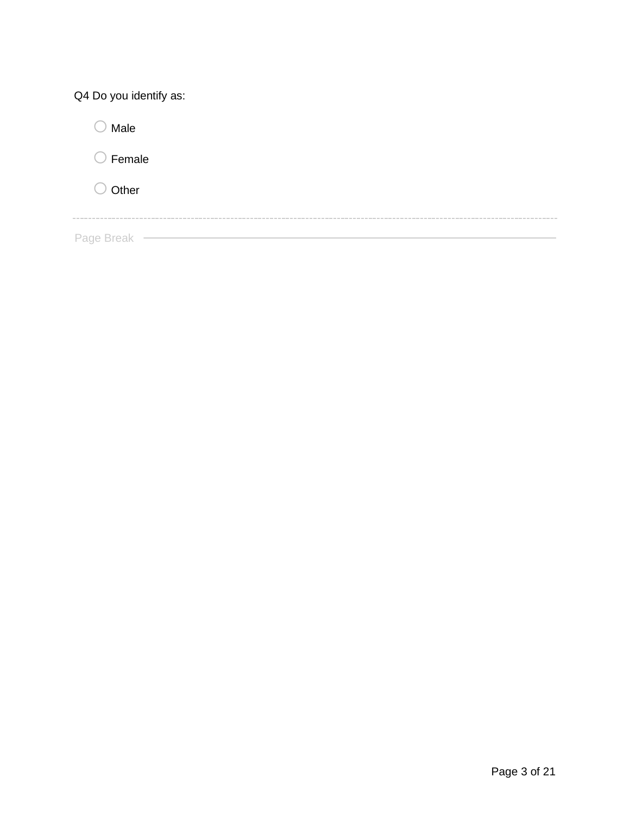| Q4 Do you identify as: |
|------------------------|
| Male                   |
| Female                 |
| Other                  |
|                        |
| Page Break             |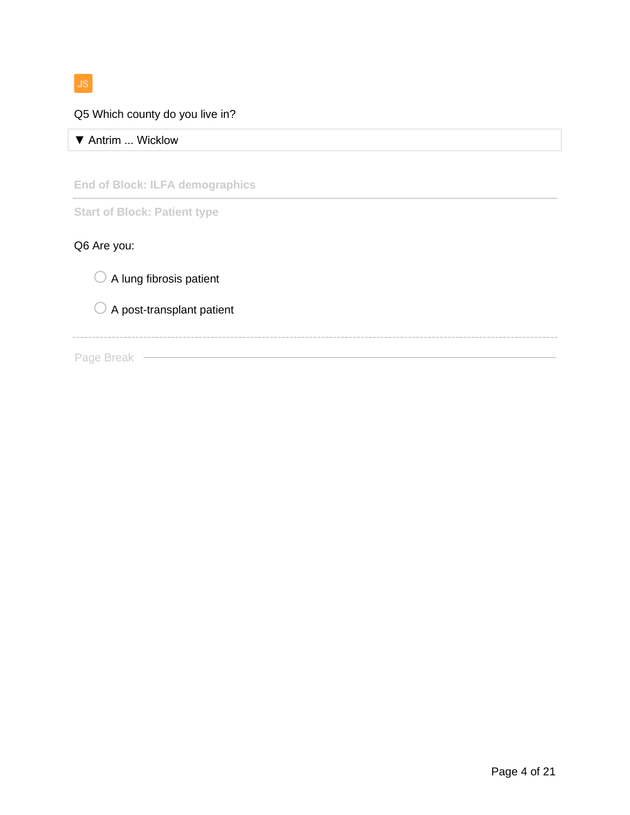$JS$ 

## Q5 Which county do you live in?

▼ Antrim ... Wicklow

**End of Block: ILFA demographics**

**Start of Block: Patient type**

# Q6 Are you:

 $\bigcirc$  A lung fibrosis patient

 $\bigcirc$  A post-transplant patient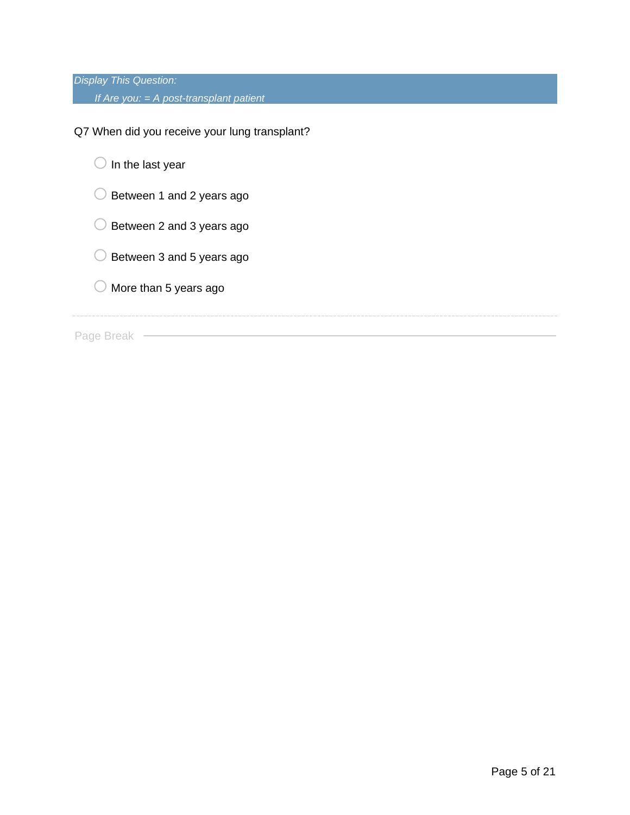*Display This Question: If Are you: = A post-transplant patient*

Q7 When did you receive your lung transplant?

 $\bigcirc$  In the last year

 $\bigcirc$  Between 1 and 2 years ago

 $\bigcirc$  Between 2 and 3 years ago

 $\bigcirc$  Between 3 and 5 years ago

 $\bigcirc$  More than 5 years ago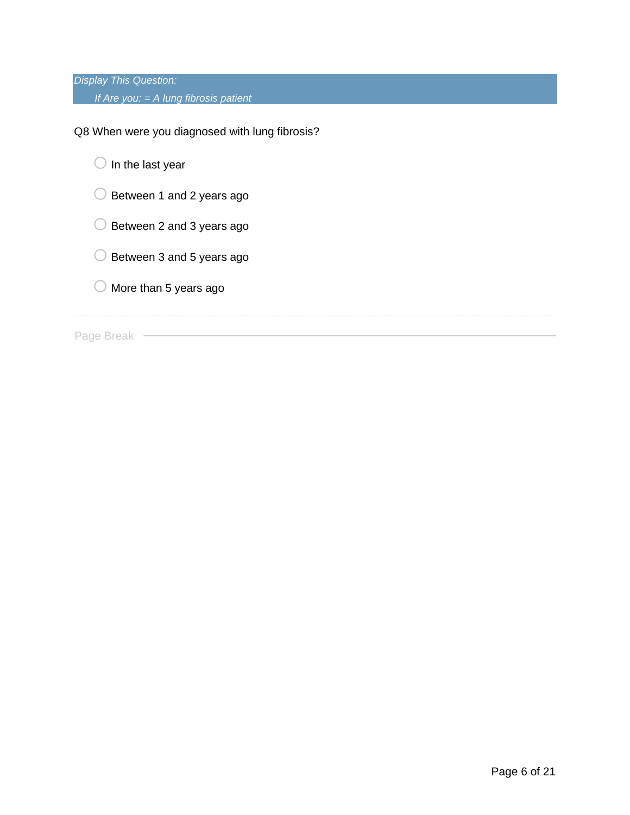*Display This Question: If Are you: = A lung fibrosis patient*

Q8 When were you diagnosed with lung fibrosis?

 $\bigcirc$  In the last year

- $\bigcirc$  Between 1 and 2 years ago
- $\bigcirc$  Between 2 and 3 years ago
- $\bigcirc$  Between 3 and 5 years ago
- $\bigcirc$  More than 5 years ago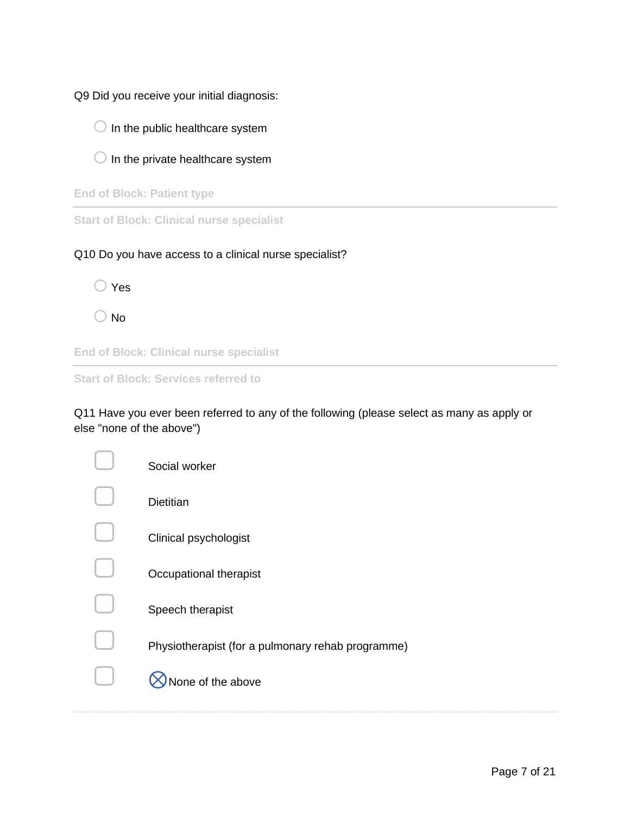Q9 Did you receive your initial diagnosis:

- $\bigcirc$  In the public healthcare system
- $\bigcirc$  In the private healthcare system

**End of Block: Patient type**

**Start of Block: Clinical nurse specialist**

Q10 Do you have access to a clinical nurse specialist?

| Yes |
|-----|
|     |

 $\bigcirc$  No

**End of Block: Clinical nurse specialist**

**Start of Block: Services referred to**

Q11 Have you ever been referred to any of the following (please select as many as apply or else "none of the above")

| Social worker                                     |
|---------------------------------------------------|
| <b>Dietitian</b>                                  |
| Clinical psychologist                             |
| Occupational therapist                            |
| Speech therapist                                  |
| Physiotherapist (for a pulmonary rehab programme) |
| lone of the above                                 |
|                                                   |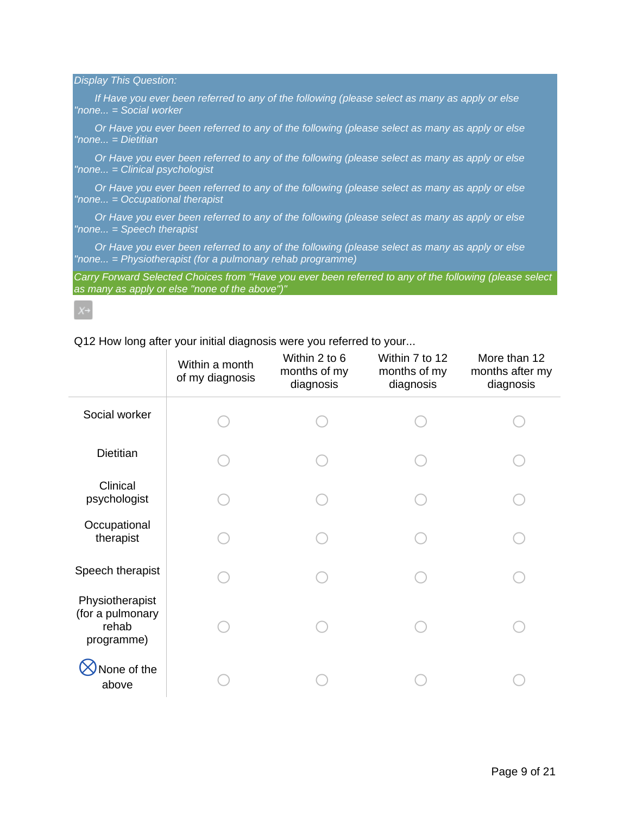*Display This Question:*

*If Have you ever been referred to any of the following (please select as many as apply or else "none... = Social worker*

*Or Have you ever been referred to any of the following (please select as many as apply or else "none... = Dietitian*

*Or Have you ever been referred to any of the following (please select as many as apply or else "none... = Clinical psychologist*

*Or Have you ever been referred to any of the following (please select as many as apply or else "none... = Occupational therapist*

*Or Have you ever been referred to any of the following (please select as many as apply or else "none... = Speech therapist*

*Or Have you ever been referred to any of the following (please select as many as apply or else "none... = Physiotherapist (for a pulmonary rehab programme)*

*Carry Forward Selected Choices from "Have you ever been referred to any of the following (please select as many as apply or else "none of the above")"*

Q12 How long after your initial diagnosis were you referred to your...

|                                                            | Within a month<br>of my diagnosis | Within 2 to 6<br>months of my<br>diagnosis | Within 7 to 12<br>months of my<br>diagnosis | More than 12<br>months after my<br>diagnosis |
|------------------------------------------------------------|-----------------------------------|--------------------------------------------|---------------------------------------------|----------------------------------------------|
| Social worker                                              |                                   |                                            |                                             |                                              |
| Dietitian                                                  |                                   |                                            |                                             |                                              |
| Clinical<br>psychologist                                   |                                   |                                            |                                             |                                              |
| Occupational<br>therapist                                  |                                   |                                            |                                             |                                              |
| Speech therapist                                           |                                   |                                            |                                             |                                              |
| Physiotherapist<br>(for a pulmonary<br>rehab<br>programme) |                                   |                                            |                                             |                                              |
| None of the<br>above                                       |                                   |                                            |                                             |                                              |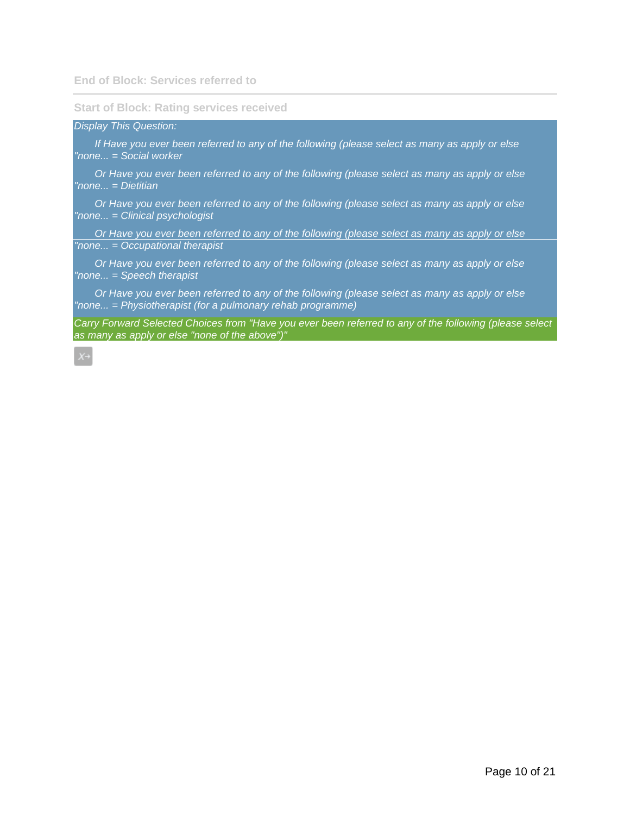#### **Start of Block: Rating services received**

*Display This Question:*

*If Have you ever been referred to any of the following (please select as many as apply or else "none... = Social worker*

*Or Have you ever been referred to any of the following (please select as many as apply or else "none... = Dietitian*

*Or Have you ever been referred to any of the following (please select as many as apply or else "none... = Clinical psychologist*

*Or Have you ever been referred to any of the following (please select as many as apply or else "none... = Occupational therapist*

*Or Have you ever been referred to any of the following (please select as many as apply or else "none... = Speech therapist*

*Or Have you ever been referred to any of the following (please select as many as apply or else "none... = Physiotherapist (for a pulmonary rehab programme)*

*Carry Forward Selected Choices from "Have you ever been referred to any of the following (please select as many as apply or else "none of the above")"*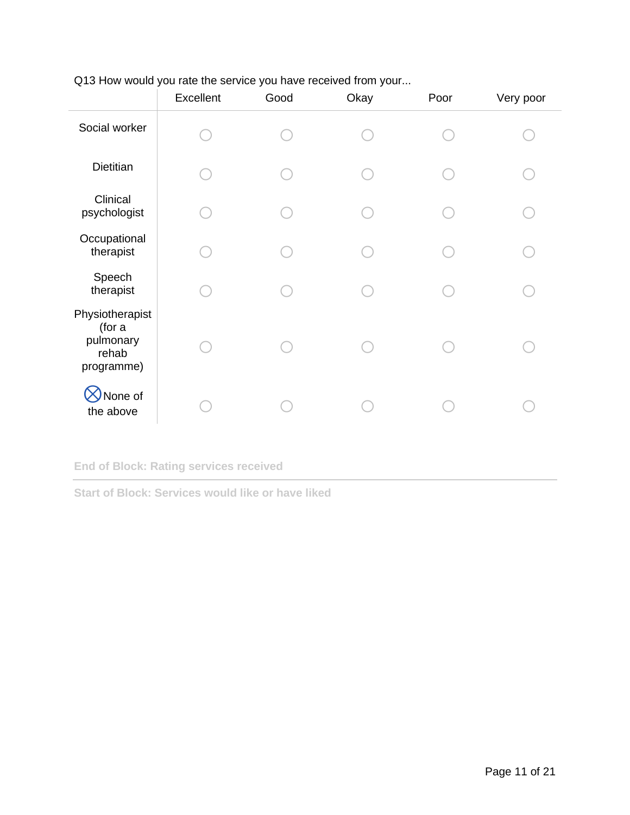|                                                               | Excellent | Good | Okay | Poor | Very poor |
|---------------------------------------------------------------|-----------|------|------|------|-----------|
| Social worker                                                 |           |      |      |      |           |
| Dietitian                                                     |           |      |      |      |           |
| Clinical<br>psychologist                                      |           |      |      |      |           |
| Occupational<br>therapist                                     |           |      |      |      |           |
| Speech<br>therapist                                           |           |      |      |      |           |
| Physiotherapist<br>(for a<br>pulmonary<br>rehab<br>programme) |           |      |      |      |           |
| None of<br>the above                                          |           |      |      |      |           |

Q13 How would you rate the service you have received from your...

**End of Block: Rating services received**

**Start of Block: Services would like or have liked**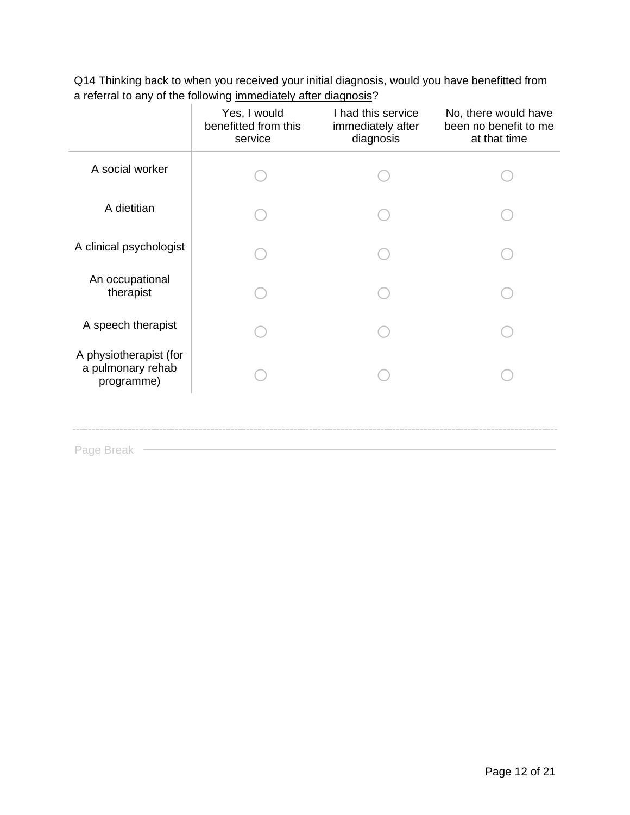Q14 Thinking back to when you received your initial diagnosis, would you have benefitted from a referral to any of the following immediately after diagnosis?

|                                                           | Yes, I would<br>benefitted from this<br>service | I had this service<br>immediately after<br>diagnosis | No, there would have<br>been no benefit to me<br>at that time |
|-----------------------------------------------------------|-------------------------------------------------|------------------------------------------------------|---------------------------------------------------------------|
| A social worker                                           |                                                 |                                                      |                                                               |
| A dietitian                                               |                                                 |                                                      |                                                               |
| A clinical psychologist                                   |                                                 |                                                      |                                                               |
| An occupational<br>therapist                              |                                                 |                                                      |                                                               |
| A speech therapist                                        |                                                 |                                                      |                                                               |
| A physiotherapist (for<br>a pulmonary rehab<br>programme) |                                                 |                                                      |                                                               |
|                                                           |                                                 |                                                      |                                                               |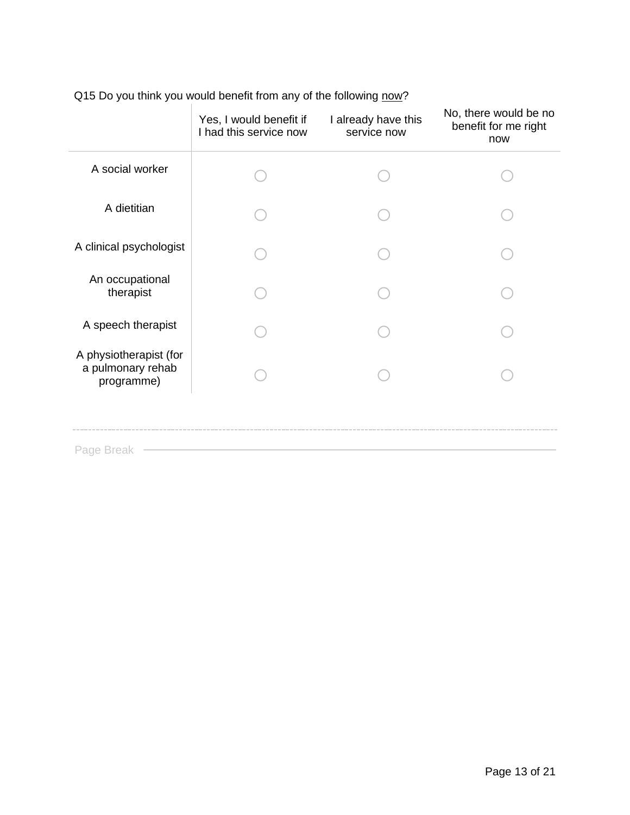| Q15 Do you think you would benefit from any of the following now? |
|-------------------------------------------------------------------|
|                                                                   |

|                                                           | Yes, I would benefit if<br>I had this service now | I already have this<br>service now | No, there would be no<br>benefit for me right<br>now |
|-----------------------------------------------------------|---------------------------------------------------|------------------------------------|------------------------------------------------------|
| A social worker                                           |                                                   |                                    |                                                      |
| A dietitian                                               |                                                   |                                    |                                                      |
| A clinical psychologist                                   |                                                   |                                    |                                                      |
| An occupational<br>therapist                              |                                                   |                                    |                                                      |
| A speech therapist                                        |                                                   |                                    |                                                      |
| A physiotherapist (for<br>a pulmonary rehab<br>programme) |                                                   |                                    |                                                      |
|                                                           |                                                   |                                    |                                                      |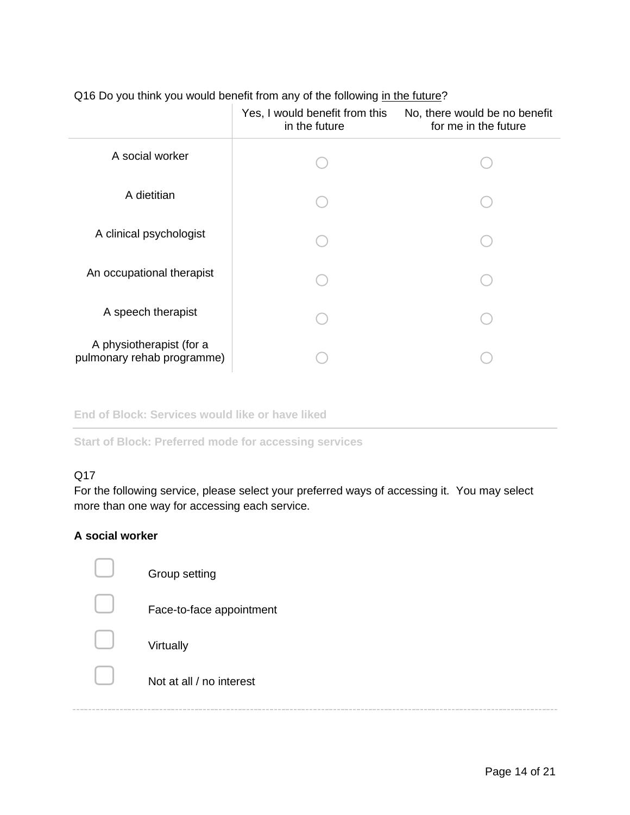|                                                        | Yes, I would benefit from this<br>in the future | No, there would be no benefit<br>for me in the future |
|--------------------------------------------------------|-------------------------------------------------|-------------------------------------------------------|
| A social worker                                        |                                                 |                                                       |
| A dietitian                                            |                                                 |                                                       |
| A clinical psychologist                                |                                                 |                                                       |
| An occupational therapist                              |                                                 |                                                       |
| A speech therapist                                     |                                                 |                                                       |
| A physiotherapist (for a<br>pulmonary rehab programme) |                                                 |                                                       |

## Q16 Do you think you would benefit from any of the following in the future?

**End of Block: Services would like or have liked**

**Start of Block: Preferred mode for accessing services**

#### Q17

For the following service, please select your preferred ways of accessing it. You may select more than one way for accessing each service.

#### **A social worker**

| Group setting            |
|--------------------------|
| Face-to-face appointment |
| Virtually                |
| Not at all / no interest |
|                          |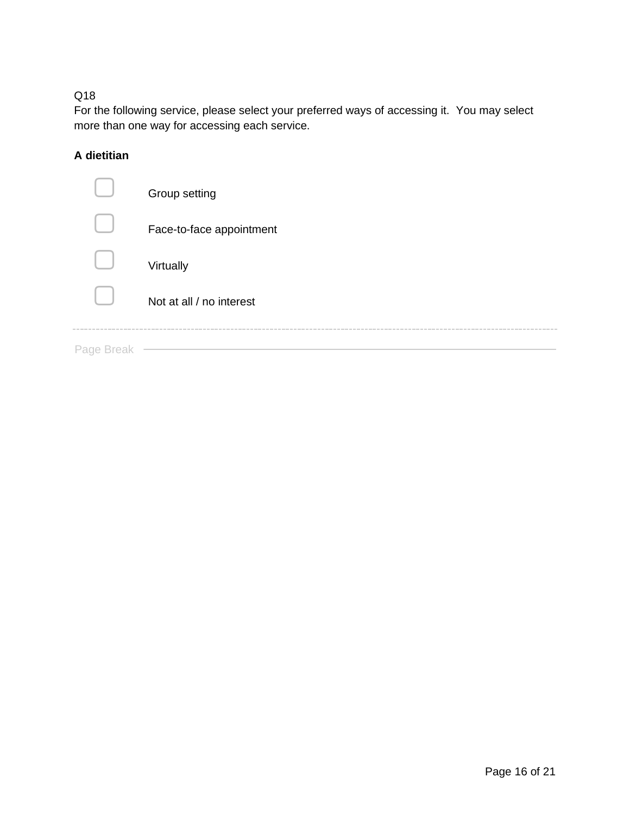For the following service, please select your preferred ways of accessing it. You may select more than one way for accessing each service.

# **A dietitian**

| Not at all / no interest |
|--------------------------|
|                          |
| Virtually                |
| Face-to-face appointment |
| Group setting            |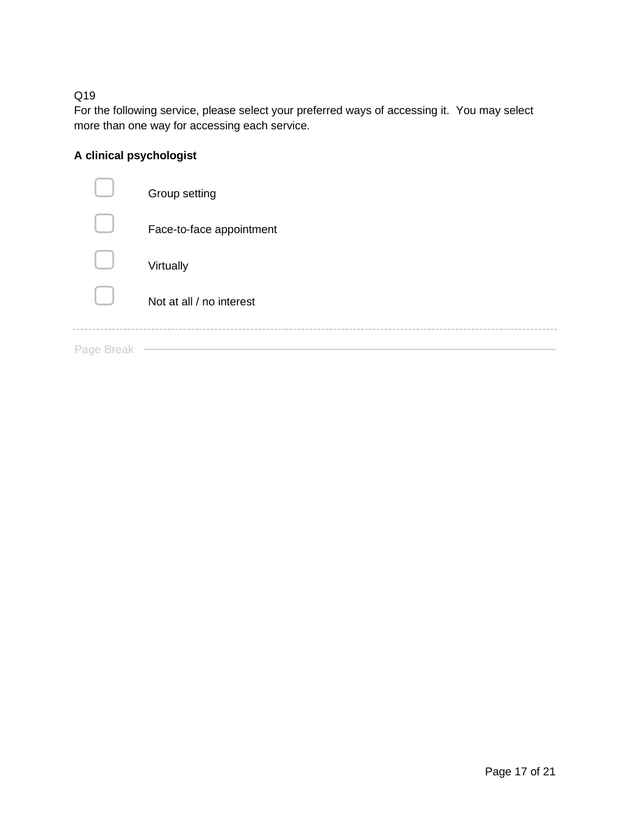For the following service, please select your preferred ways of accessing it. You may select more than one way for accessing each service.

# **A clinical psychologist**

|            | Group setting            |
|------------|--------------------------|
|            | Face-to-face appointment |
|            | Virtually                |
|            | Not at all / no interest |
| Page Break |                          |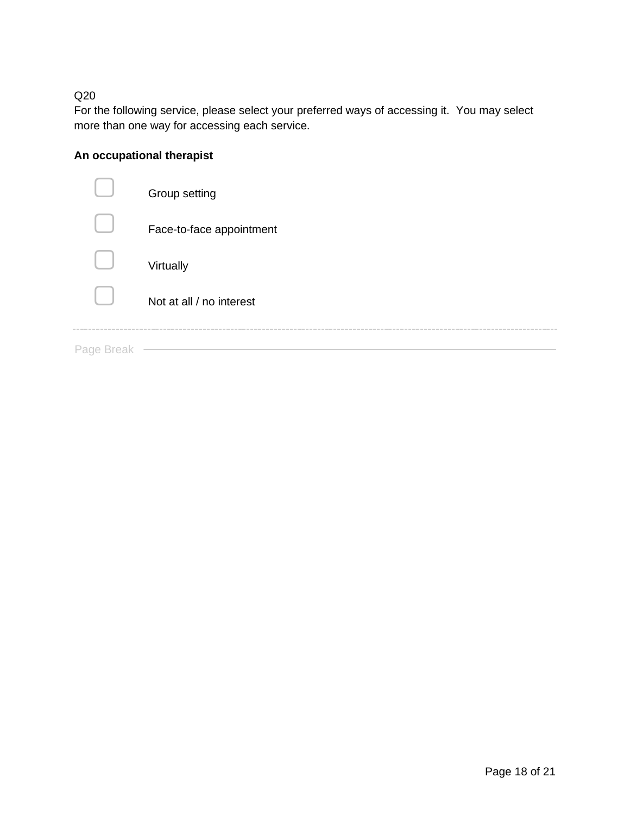For the following service, please select your preferred ways of accessing it. You may select more than one way for accessing each service.

# **An occupational therapist**

|            | Group setting            |
|------------|--------------------------|
|            | Face-to-face appointment |
|            | Virtually                |
|            | Not at all / no interest |
| Page Break |                          |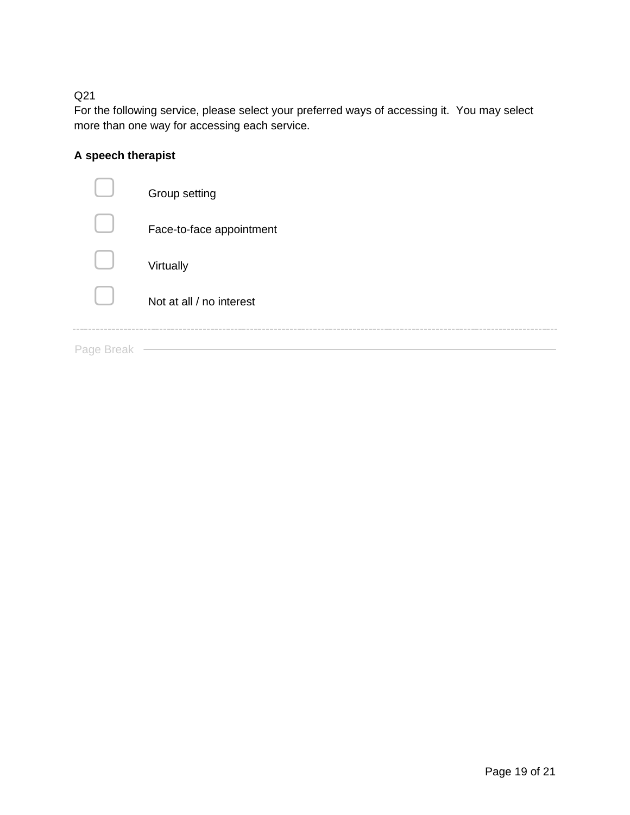For the following service, please select your preferred ways of accessing it. You may select more than one way for accessing each service.

# **A speech therapist**

|            | Group setting            |
|------------|--------------------------|
|            | Face-to-face appointment |
|            | Virtually                |
|            | Not at all / no interest |
| Page Break |                          |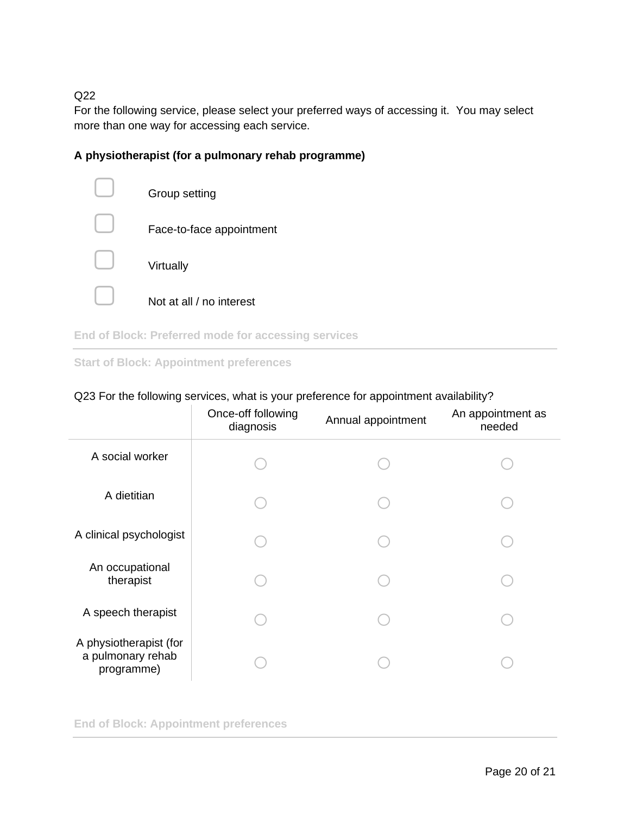For the following service, please select your preferred ways of accessing it. You may select more than one way for accessing each service.

### **A physiotherapist (for a pulmonary rehab programme)**



**End of Block: Preferred mode for accessing services**

#### **Start of Block: Appointment preferences**

#### Q23 For the following services, what is your preference for appointment availability?

|                                                           | Once-off following<br>diagnosis | Annual appointment | An appointment as<br>needed |
|-----------------------------------------------------------|---------------------------------|--------------------|-----------------------------|
| A social worker                                           |                                 |                    |                             |
| A dietitian                                               |                                 |                    |                             |
| A clinical psychologist                                   |                                 |                    |                             |
| An occupational<br>therapist                              |                                 |                    |                             |
| A speech therapist                                        |                                 |                    |                             |
| A physiotherapist (for<br>a pulmonary rehab<br>programme) |                                 |                    |                             |

**End of Block: Appointment preferences**